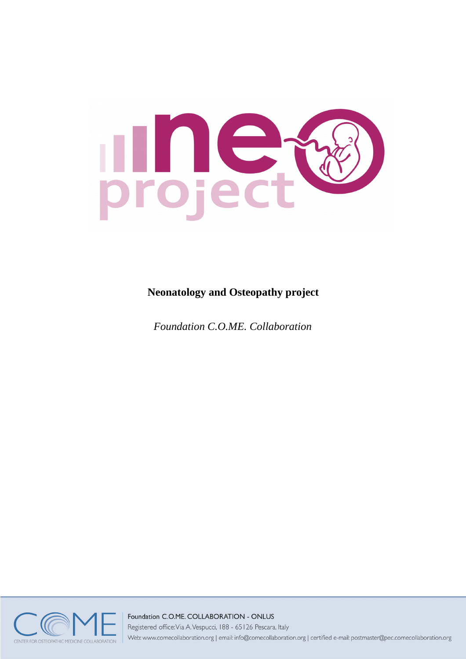

# **Neonatology and Osteopathy project**

*Foundation C.O.ME. Collaboration*



### Foundation C.O.ME. COLLABORATION - ONLUS

Registered office: Via A. Vespucci, 188 - 65126 Pescara, Italy

Web: www.comecollaboration.org | email: info@comecollaboration.org | certified e-mail: postmaster@pec.comecollaboration.org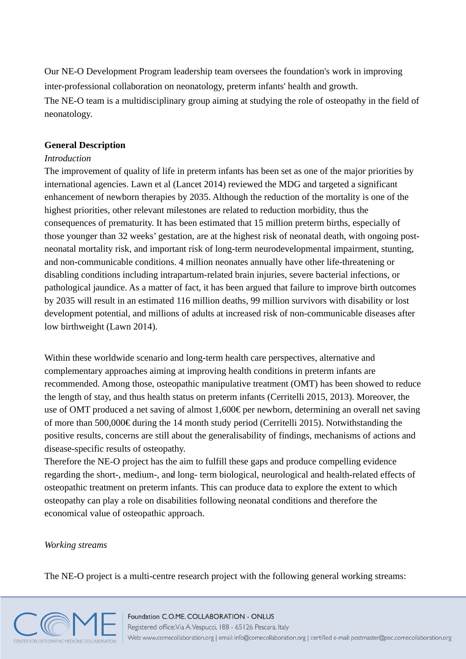Our NE-O Development Program leadership team oversees the foundation's work in improving inter-professional collaboration on neonatology, preterm infants' health and growth. The NE-O team is a multidisciplinary group aiming at studying the role of osteopathy in the field of neonatology.

### **General Description**

### *Introduction*

The improvement of quality of life in preterm infants has been set as one of the major priorities by international agencies. Lawn et al (Lancet 2014) reviewed the MDG and targeted a significant enhancement of newborn therapies by 2035. Although the reduction of the mortality is one of the highest priorities, other relevant milestones are related to reduction morbidity, thus the consequences of prematurity. It has been estimated that 15 million preterm births, especially of those younger than 32 weeks' gestation, are at the highest risk of neonatal death, with ongoing postneonatal mortality risk, and important risk of long-term neurodevelopmental impairment, stunting, and non-communicable conditions. 4 million neonates annually have other life-threatening or disabling conditions including intrapartum-related brain injuries, severe bacterial infections, or pathological jaundice. As a matter of fact, it has been argued that failure to improve birth outcomes by 2035 will result in an estimated 116 million deaths, 99 million survivors with disability or lost development potential, and millions of adults at increased risk of non-communicable diseases after low birthweight (Lawn 2014).

Within these worldwide scenario and long-term health care perspectives, alternative and complementary approaches aiming at improving health conditions in preterm infants are recommended. Among those, osteopathic manipulative treatment (OMT) has been showed to reduce the length of stay, and thus health status on preterm infants (Cerritelli 2015, 2013). Moreover, the use of OMT produced a net saving of almost 1,600€ per newborn, determining an overall net saving of more than 500,000€ during the 14 month study period (Cerritelli 2015). Notwithstanding the positive results, concerns are still about the generalisability of findings, mechanisms of actions and disease-specific results of osteopathy.

Therefore the NE-O project has the aim to fulfill these gaps and produce compelling evidence regarding the short-, medium-, and long- term biological, neurological and health-related effects of osteopathic treatment on preterm infants. This can produce data to explore the extent to which osteopathy can play a role on disabilities following neonatal conditions and therefore the economical value of osteopathic approach.

#### *Working streams*

The NE-O project is a multi-centre research project with the following general working streams:

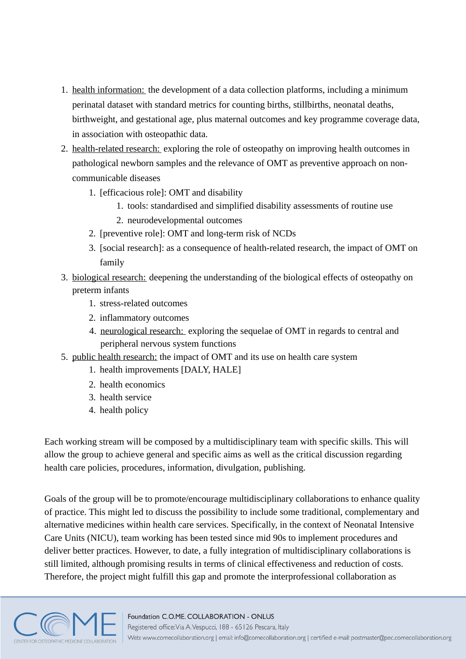- 1. health information: the development of a data collection platforms, including a minimum perinatal dataset with standard metrics for counting births, stillbirths, neonatal deaths, birthweight, and gestational age, plus maternal outcomes and key programme coverage data, in association with osteopathic data.
- 2. health-related research: exploring the role of osteopathy on improving health outcomes in pathological newborn samples and the relevance of OMT as preventive approach on noncommunicable diseases
	- 1. [efficacious role]: OMT and disability
		- 1. tools: standardised and simplified disability assessments of routine use
		- 2. neurodevelopmental outcomes
	- 2. [preventive role]: OMT and long-term risk of NCDs
	- 3. [social research]: as a consequence of health-related research, the impact of OMT on family
- 3. biological research: deepening the understanding of the biological effects of osteopathy on preterm infants
	- 1. stress-related outcomes
	- 2. inflammatory outcomes
	- 4. neurological research: exploring the sequelae of OMT in regards to central and peripheral nervous system functions
- 5. public health research: the impact of OMT and its use on health care system
	- 1. health improvements [DALY, HALE]
	- 2. health economics
	- 3. health service
	- 4. health policy

Each working stream will be composed by a multidisciplinary team with specific skills. This will allow the group to achieve general and specific aims as well as the critical discussion regarding health care policies, procedures, information, divulgation, publishing.

Goals of the group will be to promote/encourage multidisciplinary collaborations to enhance quality of practice. This might led to discuss the possibility to include some traditional, complementary and alternative medicines within health care services. Specifically, in the context of Neonatal Intensive Care Units (NICU), team working has been tested since mid 90s to implement procedures and deliver better practices. However, to date, a fully integration of multidisciplinary collaborations is still limited, although promising results in terms of clinical effectiveness and reduction of costs. Therefore, the project might fulfill this gap and promote the interprofessional collaboration as

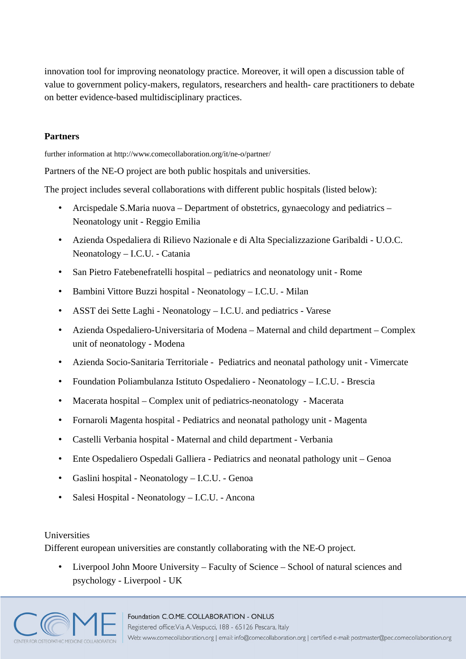innovation tool for improving neonatology practice. Moreover, it will open a discussion table of value to government policy-makers, regulators, researchers and health- care practitioners to debate on better evidence-based multidisciplinary practices.

# **Partners**

further information at http://www.comecollaboration.org/it/ne-o/partner/

Partners of the NE-O project are both public hospitals and universities.

The project includes several collaborations with different public hospitals (listed below):

- Arcispedale S.Maria nuova Department of obstetrics, gynaecology and pediatrics Neonatology unit - Reggio Emilia
- Azienda Ospedaliera di Rilievo Nazionale e di Alta Specializzazione Garibaldi U.O.C. Neonatology – I.C.U. - Catania
- San Pietro Fatebenefratelli hospital pediatrics and neonatology unit Rome
- Bambini Vittore Buzzi hospital Neonatology I.C.U. Milan
- ASST dei Sette Laghi Neonatology I.C.U. and pediatrics Varese
- Azienda Ospedaliero-Universitaria of Modena Maternal and child department Complex unit of neonatology - Modena
- Azienda Socio-Sanitaria Territoriale Pediatrics and neonatal pathology unit Vimercate
- Foundation Poliambulanza Istituto Ospedaliero Neonatology I.C.U. Brescia
- Macerata hospital Complex unit of pediatrics-neonatology Macerata
- Fornaroli Magenta hospital Pediatrics and neonatal pathology unit Magenta
- Castelli Verbania hospital Maternal and child department Verbania
- Ente Ospedaliero Ospedali Galliera Pediatrics and neonatal pathology unit Genoa
- Gaslini hospital Neonatology I.C.U. Genoa
- Salesi Hospital Neonatology I.C.U. Ancona

# Universities

Different european universities are constantly collaborating with the NE-O project.

• Liverpool John Moore University – Faculty of Science – School of natural sciences and psychology - Liverpool - UK

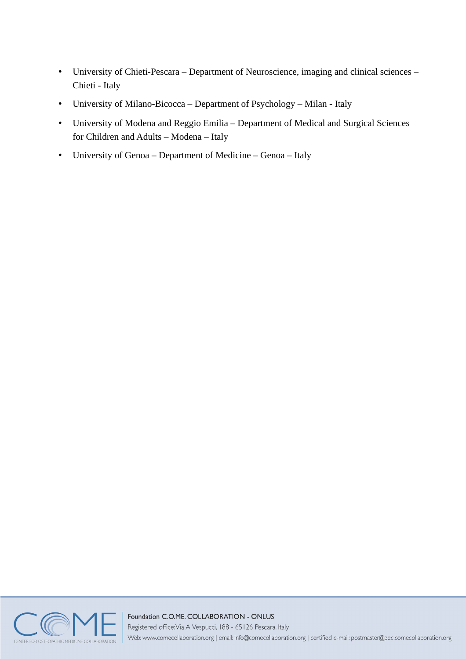- University of Chieti-Pescara Department of Neuroscience, imaging and clinical sciences Chieti - Italy
- University of Milano-Bicocca Department of Psychology Milan Italy
- University of Modena and Reggio Emilia Department of Medical and Surgical Sciences for Children and Adults – Modena – Italy
- University of Genoa Department of Medicine Genoa Italy



# Foundation C.O.ME. COLLABORATION - ONLUS

Registered office: Via A. Vespucci, 188 - 65126 Pescara, Italy

Web: www.comecollaboration.org | email: info@comecollaboration.org | certified e-mail: postmaster@pec.comecollaboration.org